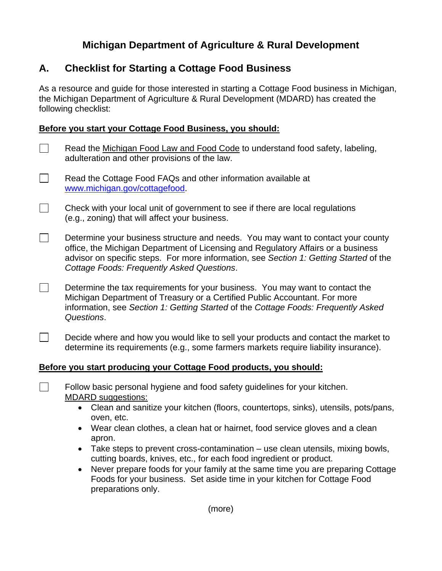# **Michigan Department of Agriculture & Rural Development**

## **A. Checklist for Starting a Cottage Food Business**

As a resource and guide for those interested in starting a Cottage Food business in Michigan, the Michigan Department of Agriculture & Rural Development (MDARD) has created the following checklist:

### **Before you start your Cottage Food Business, you should:**

- $\Box$  Read the Michigan Food Law and Food Code to understand food safety, labeling, adulteration and other provisions of the law.
- Read the Cottage Food FAQs and other information available at www.michigan.gov/cottagefood.
- $\Box$  Check with your local unit of government to see if there are local regulations (e.g., zoning) that will affect your business.
- $\Box$  Determine your business structure and needs. You may want to contact your county office, the Michigan Department of Licensing and Regulatory Affairs or a business advisor on specific steps. For more information, see *Section 1: Getting Started* of the *Cottage Foods: Frequently Asked Questions*.
- $\Box$  Determine the tax requirements for your business. You may want to contact the Michigan Department of Treasury or a Certified Public Accountant. For more information, see *Section 1: Getting Started* of the *Cottage Foods: Frequently Asked Questions*.
- Decide where and how you would like to sell your products and contact the market to determine its requirements (e.g., some farmers markets require liability insurance).

#### **Before you start producing your Cottage Food products, you should:**

Follow basic personal hygiene and food safety guidelines for your kitchen. MDARD suggestions:

- Clean and sanitize your kitchen (floors, countertops, sinks), utensils, pots/pans, oven, etc.
- Wear clean clothes, a clean hat or hairnet, food service gloves and a clean apron.
- Take steps to prevent cross-contamination use clean utensils, mixing bowls, cutting boards, knives, etc., for each food ingredient or product.
- Never prepare foods for your family at the same time you are preparing Cottage Foods for your business. Set aside time in your kitchen for Cottage Food preparations only.

(more)